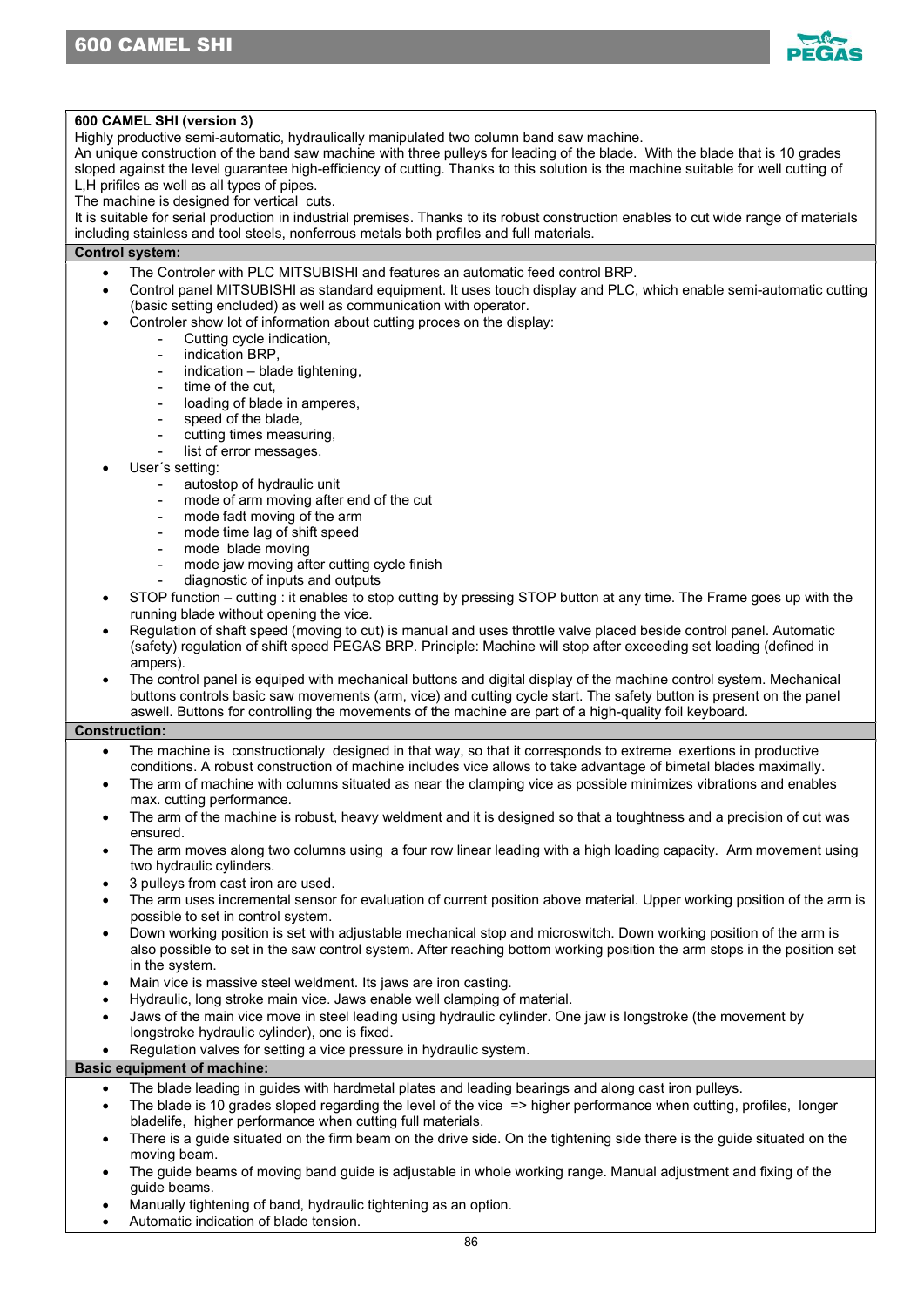

# 600 CAMEL SHI (version 3)

Highly productive semi-automatic, hydraulically manipulated two column band saw machine.

An unique construction of the band saw machine with three pulleys for leading of the blade. With the blade that is 10 grades sloped against the level guarantee high-efficiency of cutting. Thanks to this solution is the machine suitable for well cutting of L,H prifiles as well as all types of pipes.

The machine is designed for vertical cuts.

It is suitable for serial production in industrial premises. Thanks to its robust construction enables to cut wide range of materials including stainless and tool steels, nonferrous metals both profiles and full materials.

# Control system:

- The Controler with PLC MITSUBISHI and features an automatic feed control BRP.
- Control panel MITSUBISHI as standard equipment. It uses touch display and PLC, which enable semi-automatic cutting (basic setting encluded) as well as communication with operator.
	- Controler show lot of information about cutting proces on the display:
		- Cutting cycle indication,
		- indication BRP,
		- $indication blade tightening,$
		- time of the cut,
		- loading of blade in amperes,
		- speed of the blade.
		- cutting times measuring,
		- list of error messages.
- User´s setting:
	- autostop of hydraulic unit
	- mode of arm moving after end of the cut
	- mode fadt moving of the arm
	- mode time lag of shift speed
	- mode blade moving
	- mode jaw moving after cutting cycle finish
	- diagnostic of inputs and outputs
- STOP function cutting : it enables to stop cutting by pressing STOP button at any time. The Frame goes up with the running blade without opening the vice.
- Regulation of shaft speed (moving to cut) is manual and uses throttle valve placed beside control panel. Automatic (safety) regulation of shift speed PEGAS BRP. Principle: Machine will stop after exceeding set loading (defined in ampers).
- The control panel is equiped with mechanical buttons and digital display of the machine control system. Mechanical buttons controls basic saw movements (arm, vice) and cutting cycle start. The safety button is present on the panel aswell. Buttons for controlling the movements of the machine are part of a high-quality foil keyboard.

### Construction:

- The machine is constructionaly designed in that way, so that it corresponds to extreme exertions in productive conditions. A robust construction of machine includes vice allows to take advantage of bimetal blades maximally.
- The arm of machine with columns situated as near the clamping vice as possible minimizes vibrations and enables max. cutting performance.
- The arm of the machine is robust, heavy weldment and it is designed so that a toughtness and a precision of cut was ensured.
- The arm moves along two columns using a four row linear leading with a high loading capacity. Arm movement using two hydraulic cylinders.
- 3 pulleys from cast iron are used.
- The arm uses incremental sensor for evaluation of current position above material. Upper working position of the arm is possible to set in control system.
- Down working position is set with adjustable mechanical stop and microswitch. Down working position of the arm is also possible to set in the saw control system. After reaching bottom working position the arm stops in the position set in the system.
- Main vice is massive steel weldment. Its jaws are iron casting.
- Hydraulic, long stroke main vice. Jaws enable well clamping of material.
- Jaws of the main vice move in steel leading using hydraulic cylinder. One jaw is longstroke (the movement by longstroke hydraulic cylinder), one is fixed.
- Regulation valves for setting a vice pressure in hydraulic system.

# Basic equipment of machine:

- The blade leading in guides with hardmetal plates and leading bearings and along cast iron pulleys.
- The blade is 10 grades sloped regarding the level of the vice => higher performance when cutting, profiles, longer bladelife, higher performance when cutting full materials.
- There is a guide situated on the firm beam on the drive side. On the tightening side there is the guide situated on the moving beam.
- The guide beams of moving band guide is adjustable in whole working range. Manual adjustment and fixing of the guide beams.
- Manually tightening of band, hydraulic tightening as an option.
- Automatic indication of blade tension.